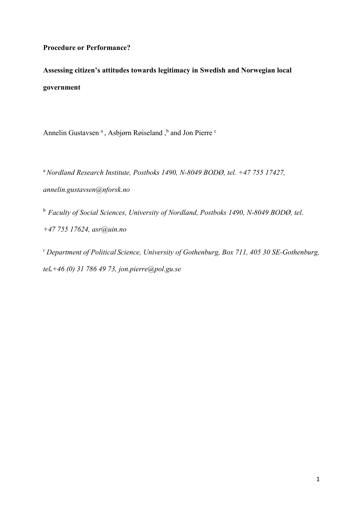**Procedure or Performance?**

**Assessing citizen's attitudes towards legitimacy in Swedish and Norwegian local government**

Annelin Gustavsen<sup>a</sup>, Asbjørn Røiseland, <sup>b</sup> and Jon Pierre<sup>c</sup>

<sup>a</sup> *Nordland Research Institute, Postboks 1490, N-8049 BODØ, tel. +47 755 17427, annelin.gustavsen@nforsk.no* 

<sup>b</sup> *Faculty of Social Sciences, University of Nordland, Postboks 1490, N-8049 BODØ, tel. +47 755 17624, asr@uin.no*

*<sup>c</sup> Department of Political Science, University of Gothenburg, Box 711, 405 30 SE-Gothenburg, tel.+46 (0) 31 786 49 73, jon.pierre@pol.gu.se*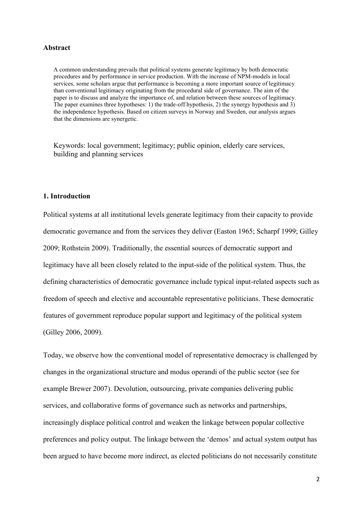#### **Abstract**

A common understanding prevails that political systems generate legitimacy by both democratic procedures and by performance in service production. With the increase of NPM-models in local services, some scholars argue that performance is becoming a more important source of legitimacy than conventional legitimacy originating from the procedural side of governance. The aim of the paper is to discuss and analyze the importance of, and relation between these sources of legitimacy. The paper examines three hypotheses: 1) the trade-off hypothesis, 2) the synergy hypothesis and 3) the independence hypothesis. Based on citizen surveys in Norway and Sweden, our analysis argues that the dimensions are synergetic.

Keywords: local government; legitimacy; public opinion, elderly care services, building and planning services

## **1. Introduction**

Political systems at all institutional levels generate legitimacy from their capacity to provide democratic governance and from the services they deliver (Easton 1965; Scharpf 1999; Gilley 2009; Rothstein 2009). Traditionally, the essential sources of democratic support and legitimacy have all been closely related to the input-side of the political system. Thus, the defining characteristics of democratic governance include typical input-related aspects such as freedom of speech and elective and accountable representative politicians. These democratic features of government reproduce popular support and legitimacy of the political system (Gilley 2006, 2009).

Today, we observe how the conventional model of representative democracy is challenged by changes in the organizational structure and modus operandi of the public sector (see for example Brewer 2007). Devolution, outsourcing, private companies delivering public services, and collaborative forms of governance such as networks and partnerships, increasingly displace political control and weaken the linkage between popular collective preferences and policy output. The linkage between the 'demos' and actual system output has been argued to have become more indirect, as elected politicians do not necessarily constitute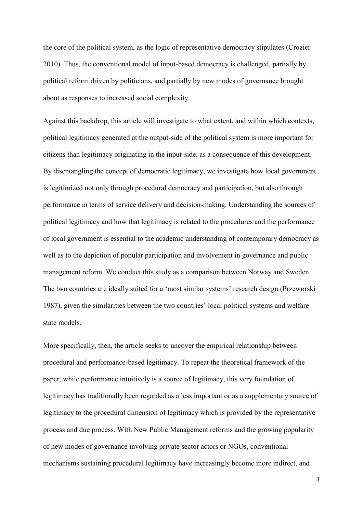the core of the political system, as the logic of representative democracy stipulates (Crozier 2010). Thus, the conventional model of input-based democracy is challenged, partially by political reform driven by politicians, and partially by new modes of governance brought about as responses to increased social complexity.

Against this backdrop, this article will investigate to what extent, and within which contexts, political legitimacy generated at the output-side of the political system is more important for citizens than legitimacy originating in the input-side, as a consequence of this development. By disentangling the concept of democratic legitimacy, we investigate how local government is legitimized not only through procedural democracy and participation, but also through performance in terms of service delivery and decision-making. Understanding the sources of political legitimacy and how that legitimacy is related to the procedures and the performance of local government is essential to the academic understanding of contemporary democracy as well as to the depiction of popular participation and involvement in governance and public management reform. We conduct this study as a comparison between Norway and Sweden. The two countries are ideally suited for a 'most similar systems' research design (Przeworski 1987), given the similarities between the two countries' local political systems and welfare state models.

More specifically, then, the article seeks to uncover the empirical relationship between procedural and performance-based legitimacy. To repeat the theoretical framework of the paper, while performance intuitively is a source of legitimacy, this very foundation of legitimacy has traditionally been regarded as a less important or as a supplementary source of legitimacy to the procedural dimension of legitimacy which is provided by the representative process and due process. With New Public Management reforms and the growing popularity of new modes of governance involving private sector actors or NGOs, conventional mechanisms sustaining procedural legitimacy have increasingly become more indirect, and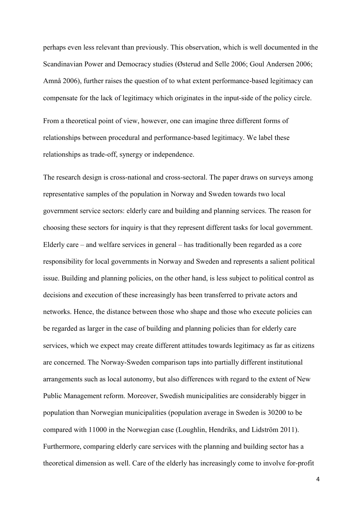perhaps even less relevant than previously. This observation, which is well documented in the Scandinavian Power and Democracy studies (Østerud and Selle 2006; Goul Andersen 2006; Amnå 2006), further raises the question of to what extent performance-based legitimacy can compensate for the lack of legitimacy which originates in the input-side of the policy circle.

From a theoretical point of view, however, one can imagine three different forms of relationships between procedural and performance-based legitimacy. We label these relationships as trade-off, synergy or independence.

The research design is cross-national and cross-sectoral. The paper draws on surveys among representative samples of the population in Norway and Sweden towards two local government service sectors: elderly care and building and planning services. The reason for choosing these sectors for inquiry is that they represent different tasks for local government. Elderly care – and welfare services in general – has traditionally been regarded as a core responsibility for local governments in Norway and Sweden and represents a salient political issue. Building and planning policies, on the other hand, is less subject to political control as decisions and execution of these increasingly has been transferred to private actors and networks. Hence, the distance between those who shape and those who execute policies can be regarded as larger in the case of building and planning policies than for elderly care services, which we expect may create different attitudes towards legitimacy as far as citizens are concerned. The Norway-Sweden comparison taps into partially different institutional arrangements such as local autonomy, but also differences with regard to the extent of New Public Management reform. Moreover, Swedish municipalities are considerably bigger in population than Norwegian municipalities (population average in Sweden is 30200 to be compared with 11000 in the Norwegian case (Loughlin, Hendriks, and Lidström 2011). Furthermore, comparing elderly care services with the planning and building sector has a theoretical dimension as well. Care of the elderly has increasingly come to involve for-profit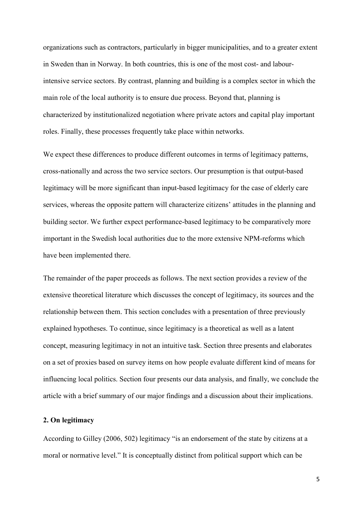organizations such as contractors, particularly in bigger municipalities, and to a greater extent in Sweden than in Norway. In both countries, this is one of the most cost- and labourintensive service sectors. By contrast, planning and building is a complex sector in which the main role of the local authority is to ensure due process. Beyond that, planning is characterized by institutionalized negotiation where private actors and capital play important roles. Finally, these processes frequently take place within networks.

We expect these differences to produce different outcomes in terms of legitimacy patterns, cross-nationally and across the two service sectors. Our presumption is that output-based legitimacy will be more significant than input-based legitimacy for the case of elderly care services, whereas the opposite pattern will characterize citizens' attitudes in the planning and building sector. We further expect performance-based legitimacy to be comparatively more important in the Swedish local authorities due to the more extensive NPM-reforms which have been implemented there.

The remainder of the paper proceeds as follows. The next section provides a review of the extensive theoretical literature which discusses the concept of legitimacy, its sources and the relationship between them. This section concludes with a presentation of three previously explained hypotheses. To continue, since legitimacy is a theoretical as well as a latent concept, measuring legitimacy in not an intuitive task. Section three presents and elaborates on a set of proxies based on survey items on how people evaluate different kind of means for influencing local politics. Section four presents our data analysis, and finally, we conclude the article with a brief summary of our major findings and a discussion about their implications.

## **2. On legitimacy**

According to Gilley (2006, 502) legitimacy "is an endorsement of the state by citizens at a moral or normative level." It is conceptually distinct from political support which can be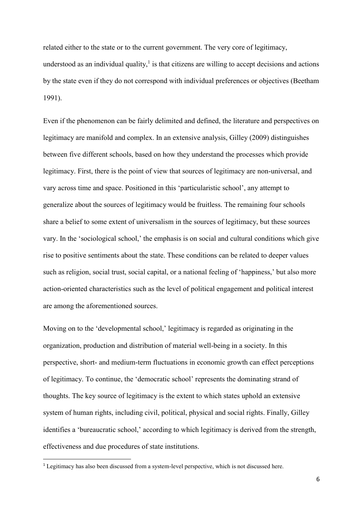related either to the state or to the current government. The very core of legitimacy, understood as an individual quality, $\frac{1}{1}$  is that citizens are willing to accept decisions and actions by the state even if they do not correspond with individual preferences or objectives (Beetham 1991).

Even if the phenomenon can be fairly delimited and defined, the literature and perspectives on legitimacy are manifold and complex. In an extensive analysis, Gilley (2009) distinguishes between five different schools, based on how they understand the processes which provide legitimacy. First, there is the point of view that sources of legitimacy are non-universal, and vary across time and space. Positioned in this 'particularistic school', any attempt to generalize about the sources of legitimacy would be fruitless. The remaining four schools share a belief to some extent of universalism in the sources of legitimacy, but these sources vary. In the 'sociological school,' the emphasis is on social and cultural conditions which give rise to positive sentiments about the state. These conditions can be related to deeper values such as religion, social trust, social capital, or a national feeling of 'happiness,' but also more action-oriented characteristics such as the level of political engagement and political interest are among the aforementioned sources.

Moving on to the 'developmental school,' legitimacy is regarded as originating in the organization, production and distribution of material well-being in a society. In this perspective, short- and medium-term fluctuations in economic growth can effect perceptions of legitimacy. To continue, the 'democratic school' represents the dominating strand of thoughts. The key source of legitimacy is the extent to which states uphold an extensive system of human rights, including civil, political, physical and social rights. Finally, Gilley identifies a 'bureaucratic school,' according to which legitimacy is derived from the strength, effectiveness and due procedures of state institutions.

**.** 

<sup>&</sup>lt;sup>1</sup> Legitimacy has also been discussed from a system-level perspective, which is not discussed here.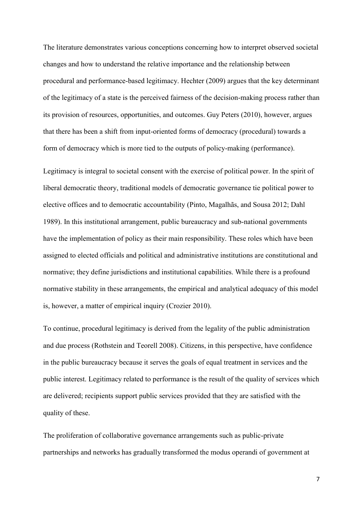The literature demonstrates various conceptions concerning how to interpret observed societal changes and how to understand the relative importance and the relationship between procedural and performance-based legitimacy. Hechter (2009) argues that the key determinant of the legitimacy of a state is the perceived fairness of the decision-making process rather than its provision of resources, opportunities, and outcomes. Guy Peters (2010), however, argues that there has been a shift from input-oriented forms of democracy (procedural) towards a form of democracy which is more tied to the outputs of policy-making (performance).

Legitimacy is integral to societal consent with the exercise of political power. In the spirit of liberal democratic theory, traditional models of democratic governance tie political power to elective offices and to democratic accountability (Pinto, Magalhãs, and Sousa 2012; Dahl 1989). In this institutional arrangement, public bureaucracy and sub-national governments have the implementation of policy as their main responsibility. These roles which have been assigned to elected officials and political and administrative institutions are constitutional and normative; they define jurisdictions and institutional capabilities. While there is a profound normative stability in these arrangements, the empirical and analytical adequacy of this model is, however, a matter of empirical inquiry (Crozier 2010).

To continue, procedural legitimacy is derived from the legality of the public administration and due process (Rothstein and Teorell 2008). Citizens, in this perspective, have confidence in the public bureaucracy because it serves the goals of equal treatment in services and the public interest. Legitimacy related to performance is the result of the quality of services which are delivered; recipients support public services provided that they are satisfied with the quality of these.

The proliferation of collaborative governance arrangements such as public-private partnerships and networks has gradually transformed the modus operandi of government at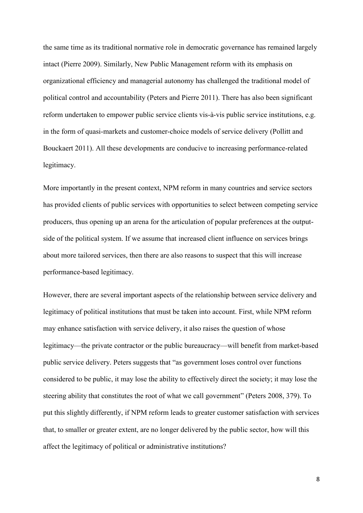the same time as its traditional normative role in democratic governance has remained largely intact (Pierre 2009). Similarly, New Public Management reform with its emphasis on organizational efficiency and managerial autonomy has challenged the traditional model of political control and accountability (Peters and Pierre 2011). There has also been significant reform undertaken to empower public service clients vis-à-vis public service institutions, e.g. in the form of quasi-markets and customer-choice models of service delivery (Pollitt and Bouckaert 2011). All these developments are conducive to increasing performance-related legitimacy.

More importantly in the present context, NPM reform in many countries and service sectors has provided clients of public services with opportunities to select between competing service producers, thus opening up an arena for the articulation of popular preferences at the outputside of the political system. If we assume that increased client influence on services brings about more tailored services, then there are also reasons to suspect that this will increase performance-based legitimacy.

However, there are several important aspects of the relationship between service delivery and legitimacy of political institutions that must be taken into account. First, while NPM reform may enhance satisfaction with service delivery, it also raises the question of whose legitimacy—the private contractor or the public bureaucracy—will benefit from market-based public service delivery. Peters suggests that "as government loses control over functions considered to be public, it may lose the ability to effectively direct the society; it may lose the steering ability that constitutes the root of what we call government" (Peters 2008, 379). To put this slightly differently, if NPM reform leads to greater customer satisfaction with services that, to smaller or greater extent, are no longer delivered by the public sector, how will this affect the legitimacy of political or administrative institutions?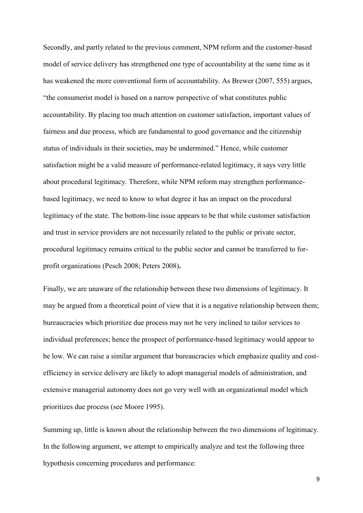Secondly, and partly related to the previous comment, NPM reform and the customer-based model of service delivery has strengthened one type of accountability at the same time as it has weakened the more conventional form of accountability. As Brewer (2007, 555) argues, "the consumerist model is based on a narrow perspective of what constitutes public accountability. By placing too much attention on customer satisfaction, important values of fairness and due process, which are fundamental to good governance and the citizenship status of individuals in their societies, may be undermined." Hence, while customer satisfaction might be a valid measure of performance-related legitimacy, it says very little about procedural legitimacy. Therefore, while NPM reform may strengthen performancebased legitimacy, we need to know to what degree it has an impact on the procedural legitimacy of the state. The bottom-line issue appears to be that while customer satisfaction and trust in service providers are not necessarily related to the public or private sector, procedural legitimacy remains critical to the public sector and cannot be transferred to forprofit organizations (Pesch 2008; Peters 2008)**.**

Finally, we are unaware of the relationship between these two dimensions of legitimacy. It may be argued from a theoretical point of view that it is a negative relationship between them; bureaucracies which prioritize due process may not be very inclined to tailor services to individual preferences; hence the prospect of performance-based legitimacy would appear to be low. We can raise a similar argument that bureaucracies which emphasize quality and costefficiency in service delivery are likely to adopt managerial models of administration, and extensive managerial autonomy does not go very well with an organizational model which prioritizes due process (see Moore 1995).

Summing up, little is known about the relationship between the two dimensions of legitimacy. In the following argument, we attempt to empirically analyze and test the following three hypothesis concerning procedures and performance: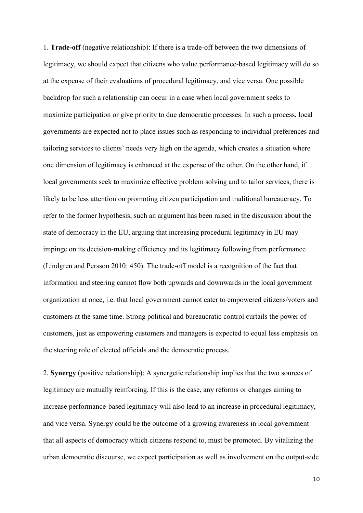1. **Trade-off** (negative relationship): If there is a trade-off between the two dimensions of legitimacy, we should expect that citizens who value performance-based legitimacy will do so at the expense of their evaluations of procedural legitimacy, and vice versa. One possible backdrop for such a relationship can occur in a case when local government seeks to maximize participation or give priority to due democratic processes. In such a process, local governments are expected not to place issues such as responding to individual preferences and tailoring services to clients' needs very high on the agenda, which creates a situation where one dimension of legitimacy is enhanced at the expense of the other. On the other hand, if local governments seek to maximize effective problem solving and to tailor services, there is likely to be less attention on promoting citizen participation and traditional bureaucracy. To refer to the former hypothesis, such an argument has been raised in the discussion about the state of democracy in the EU, arguing that increasing procedural legitimacy in EU may impinge on its decision-making efficiency and its legitimacy following from performance (Lindgren and Persson 2010: 450). The trade-off model is a recognition of the fact that information and steering cannot flow both upwards and downwards in the local government organization at once, i.e. that local government cannot cater to empowered citizens/voters and customers at the same time. Strong political and bureaucratic control curtails the power of customers, just as empowering customers and managers is expected to equal less emphasis on the steering role of elected officials and the democratic process.

2. **Synergy** (positive relationship): A synergetic relationship implies that the two sources of legitimacy are mutually reinforcing. If this is the case, any reforms or changes aiming to increase performance-based legitimacy will also lead to an increase in procedural legitimacy, and vice versa. Synergy could be the outcome of a growing awareness in local government that all aspects of democracy which citizens respond to, must be promoted. By vitalizing the urban democratic discourse, we expect participation as well as involvement on the output-side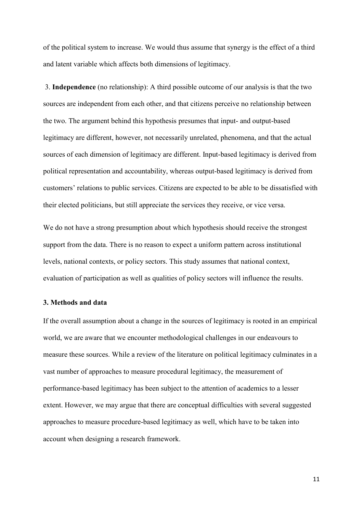of the political system to increase. We would thus assume that synergy is the effect of a third and latent variable which affects both dimensions of legitimacy.

3. **Independence** (no relationship): A third possible outcome of our analysis is that the two sources are independent from each other, and that citizens perceive no relationship between the two. The argument behind this hypothesis presumes that input- and output-based legitimacy are different, however, not necessarily unrelated, phenomena, and that the actual sources of each dimension of legitimacy are different. Input-based legitimacy is derived from political representation and accountability, whereas output-based legitimacy is derived from customers' relations to public services. Citizens are expected to be able to be dissatisfied with their elected politicians, but still appreciate the services they receive, or vice versa.

We do not have a strong presumption about which hypothesis should receive the strongest support from the data. There is no reason to expect a uniform pattern across institutional levels, national contexts, or policy sectors. This study assumes that national context, evaluation of participation as well as qualities of policy sectors will influence the results.

#### **3. Methods and data**

If the overall assumption about a change in the sources of legitimacy is rooted in an empirical world, we are aware that we encounter methodological challenges in our endeavours to measure these sources. While a review of the literature on political legitimacy culminates in a vast number of approaches to measure procedural legitimacy, the measurement of performance-based legitimacy has been subject to the attention of academics to a lesser extent. However, we may argue that there are conceptual difficulties with several suggested approaches to measure procedure-based legitimacy as well, which have to be taken into account when designing a research framework.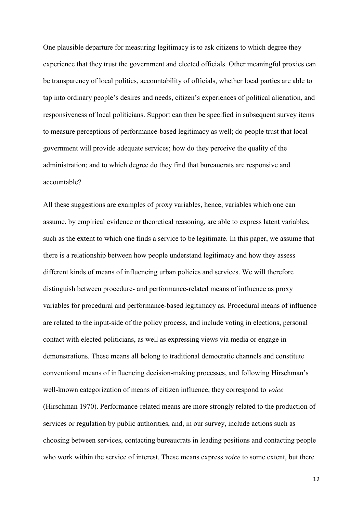One plausible departure for measuring legitimacy is to ask citizens to which degree they experience that they trust the government and elected officials. Other meaningful proxies can be transparency of local politics, accountability of officials, whether local parties are able to tap into ordinary people's desires and needs, citizen's experiences of political alienation, and responsiveness of local politicians. Support can then be specified in subsequent survey items to measure perceptions of performance-based legitimacy as well; do people trust that local government will provide adequate services; how do they perceive the quality of the administration; and to which degree do they find that bureaucrats are responsive and accountable?

All these suggestions are examples of proxy variables, hence, variables which one can assume, by empirical evidence or theoretical reasoning, are able to express latent variables, such as the extent to which one finds a service to be legitimate. In this paper, we assume that there is a relationship between how people understand legitimacy and how they assess different kinds of means of influencing urban policies and services. We will therefore distinguish between procedure- and performance-related means of influence as proxy variables for procedural and performance-based legitimacy as. Procedural means of influence are related to the input-side of the policy process, and include voting in elections, personal contact with elected politicians, as well as expressing views via media or engage in demonstrations. These means all belong to traditional democratic channels and constitute conventional means of influencing decision-making processes, and following Hirschman's well-known categorization of means of citizen influence, they correspond to *voice*  (Hirschman 1970). Performance-related means are more strongly related to the production of services or regulation by public authorities, and, in our survey, include actions such as choosing between services, contacting bureaucrats in leading positions and contacting people who work within the service of interest. These means express *voice* to some extent, but there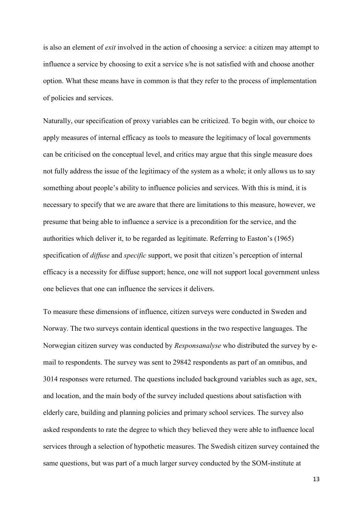is also an element of *exit* involved in the action of choosing a service: a citizen may attempt to influence a service by choosing to exit a service s/he is not satisfied with and choose another option. What these means have in common is that they refer to the process of implementation of policies and services.

Naturally, our specification of proxy variables can be criticized. To begin with, our choice to apply measures of internal efficacy as tools to measure the legitimacy of local governments can be criticised on the conceptual level, and critics may argue that this single measure does not fully address the issue of the legitimacy of the system as a whole; it only allows us to say something about people's ability to influence policies and services. With this is mind, it is necessary to specify that we are aware that there are limitations to this measure, however, we presume that being able to influence a service is a precondition for the service, and the authorities which deliver it, to be regarded as legitimate. Referring to Easton's (1965) specification of *diffuse* and *specific* support, we posit that citizen's perception of internal efficacy is a necessity for diffuse support; hence, one will not support local government unless one believes that one can influence the services it delivers.

To measure these dimensions of influence, citizen surveys were conducted in Sweden and Norway. The two surveys contain identical questions in the two respective languages. The Norwegian citizen survey was conducted by *Responsanalyse* who distributed the survey by email to respondents. The survey was sent to 29842 respondents as part of an omnibus, and 3014 responses were returned. The questions included background variables such as age, sex, and location, and the main body of the survey included questions about satisfaction with elderly care, building and planning policies and primary school services. The survey also asked respondents to rate the degree to which they believed they were able to influence local services through a selection of hypothetic measures. The Swedish citizen survey contained the same questions, but was part of a much larger survey conducted by the SOM-institute at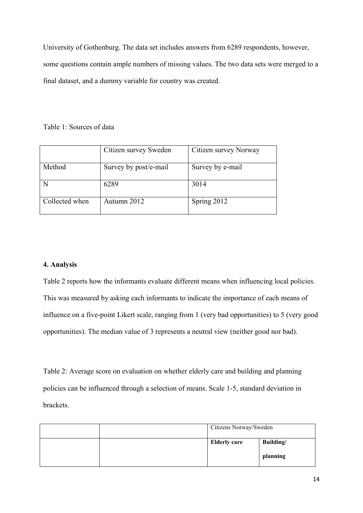University of Gothenburg. The data set includes answers from 6289 respondents, however, some questions contain ample numbers of missing values. The two data sets were merged to a final dataset, and a dummy variable for country was created.

## Table 1: Sources of data

|                | Citizen survey Sweden | Citizen survey Norway |
|----------------|-----------------------|-----------------------|
| Method         | Survey by post/e-mail | Survey by e-mail      |
|                | 6289                  | 3014                  |
| Collected when | Autumn 2012           | Spring 2012           |

# **4. Analysis**

Table 2 reports how the informants evaluate different means when influencing local policies. This was measured by asking each informants to indicate the importance of each means of influence on a five-point Likert scale, ranging from 1 (very bad opportunities) to 5 (very good opportunities). The median value of 3 represents a neutral view (neither good nor bad).

Table 2: Average score on evaluation on whether elderly care and building and planning policies can be influenced through a selection of means. Scale 1-5, standard deviation in brackets.

|  | Citizens Norway/Sweden |           |  |
|--|------------------------|-----------|--|
|  | <b>Elderly care</b>    | Building/ |  |
|  |                        | planning  |  |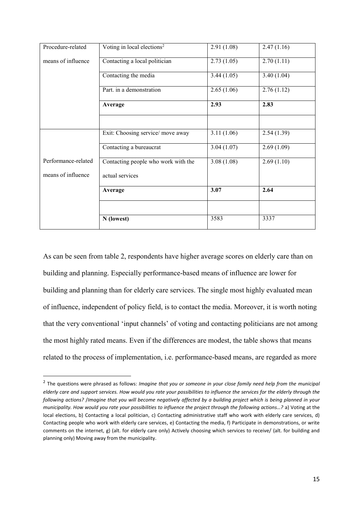| Procedure-related   | Voting in local elections <sup>2</sup> | 2.91(1.08) | 2.47(1.16) |
|---------------------|----------------------------------------|------------|------------|
| means of influence  | Contacting a local politician          | 2.73(1.05) | 2.70(1.11) |
|                     | Contacting the media                   | 3.44(1.05) | 3.40(1.04) |
|                     | Part. in a demonstration               | 2.65(1.06) | 2.76(1.12) |
|                     | Average                                | 2.93       | 2.83       |
|                     |                                        |            |            |
|                     | Exit: Choosing service/ move away      | 3.11(1.06) | 2.54(1.39) |
|                     | Contacting a bureaucrat                | 3.04(1.07) | 2.69(1.09) |
| Performance-related | Contacting people who work with the    | 3.08(1.08) | 2.69(1.10) |
| means of influence  | actual services                        |            |            |
|                     | Average                                | 3.07       | 2.64       |
|                     |                                        |            |            |
|                     | N (lowest)                             | 3583       | 3337       |

As can be seen from table 2, respondents have higher average scores on elderly care than on building and planning. Especially performance-based means of influence are lower for building and planning than for elderly care services. The single most highly evaluated mean of influence, independent of policy field, is to contact the media. Moreover, it is worth noting that the very conventional 'input channels' of voting and contacting politicians are not among the most highly rated means. Even if the differences are modest, the table shows that means related to the process of implementation, i.e. performance-based means, are regarded as more

 $\overline{a}$ 

<sup>2</sup> The questions were phrased as follows: *Imagine that you or someone in your close family need help from the municipal elderly care and support services. How would you rate your possibilities to influence the services for the elderly through the following actions?* /*Imagine that you will become negatively affected by a building project which is being planned in your municipality. How would you rate your possibilities to influence the project through the following actions…?* a) Voting at the local elections, b) Contacting a local politician, c) Contacting administrative staff who work with elderly care services, d) Contacting people who work with elderly care services, e) Contacting the media, f) Participate in demonstrations, or write comments on the internet, g) (alt. for elderly care only) Actively choosing which services to receive/ (alt. for building and planning only) Moving away from the municipality.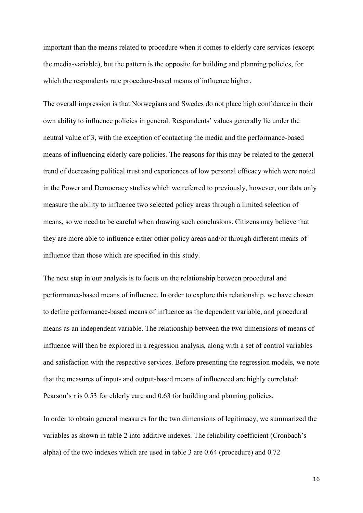important than the means related to procedure when it comes to elderly care services (except the media-variable), but the pattern is the opposite for building and planning policies, for which the respondents rate procedure-based means of influence higher.

The overall impression is that Norwegians and Swedes do not place high confidence in their own ability to influence policies in general. Respondents' values generally lie under the neutral value of 3, with the exception of contacting the media and the performance-based means of influencing elderly care policies. The reasons for this may be related to the general trend of decreasing political trust and experiences of low personal efficacy which were noted in the Power and Democracy studies which we referred to previously, however, our data only measure the ability to influence two selected policy areas through a limited selection of means, so we need to be careful when drawing such conclusions. Citizens may believe that they are more able to influence either other policy areas and/or through different means of influence than those which are specified in this study.

The next step in our analysis is to focus on the relationship between procedural and performance-based means of influence. In order to explore this relationship, we have chosen to define performance-based means of influence as the dependent variable, and procedural means as an independent variable. The relationship between the two dimensions of means of influence will then be explored in a regression analysis, along with a set of control variables and satisfaction with the respective services. Before presenting the regression models, we note that the measures of input- and output-based means of influenced are highly correlated: Pearson's r is 0.53 for elderly care and 0.63 for building and planning policies.

In order to obtain general measures for the two dimensions of legitimacy, we summarized the variables as shown in table 2 into additive indexes. The reliability coefficient (Cronbach's alpha) of the two indexes which are used in table 3 are 0.64 (procedure) and 0.72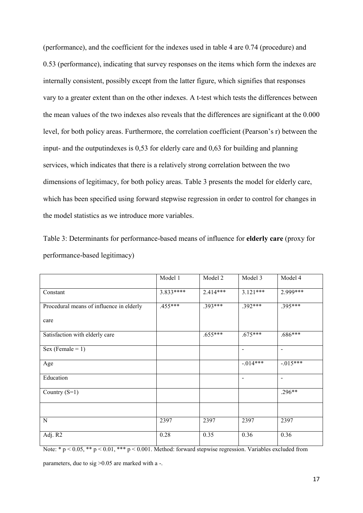(performance), and the coefficient for the indexes used in table 4 are 0.74 (procedure) and 0.53 (performance), indicating that survey responses on the items which form the indexes are internally consistent, possibly except from the latter figure, which signifies that responses vary to a greater extent than on the other indexes. A t-test which tests the differences between the mean values of the two indexes also reveals that the differences are significant at the 0.000 level, for both policy areas. Furthermore, the correlation coefficient (Pearson's r) between the input- and the outputindexes is 0,53 for elderly care and 0,63 for building and planning services, which indicates that there is a relatively strong correlation between the two dimensions of legitimacy, for both policy areas. Table 3 presents the model for elderly care, which has been specified using forward stepwise regression in order to control for changes in the model statistics as we introduce more variables.

Table 3: Determinants for performance-based means of influence for **elderly care** (proxy for performance-based legitimacy)

|                                          | Model 1    | Model 2    | Model 3        | Model 4                  |
|------------------------------------------|------------|------------|----------------|--------------------------|
| Constant                                 | $3.833***$ | $2.414***$ | $3.121***$     | $2.999***$               |
| Procedural means of influence in elderly | $.455***$  | $.393***$  | $.392***$      | $.395***$                |
| care                                     |            |            |                |                          |
| Satisfaction with elderly care           |            | $.655***$  | $.675***$      | $.686***$                |
| Sex (Female = $1$ )                      |            |            | $\blacksquare$ | $\overline{\phantom{a}}$ |
| Age                                      |            |            | $-014***$      | $-0.015***$              |
| Education                                |            |            |                |                          |
| Country $(S=1)$                          |            |            |                | $.296**$                 |
|                                          |            |            |                |                          |
| $\mathbf N$                              | 2397       | 2397       | 2397           | 2397                     |
| Adj. R2                                  | 0.28       | 0.35       | 0.36           | 0.36                     |

Note: \* p < 0.05, \*\* p < 0.01, \*\*\* p < 0.001. Method: forward stepwise regression. Variables excluded from

parameters, due to sig >0.05 are marked with a -.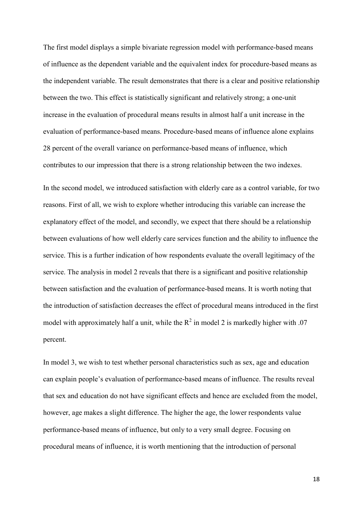The first model displays a simple bivariate regression model with performance-based means of influence as the dependent variable and the equivalent index for procedure-based means as the independent variable. The result demonstrates that there is a clear and positive relationship between the two. This effect is statistically significant and relatively strong; a one-unit increase in the evaluation of procedural means results in almost half a unit increase in the evaluation of performance-based means. Procedure-based means of influence alone explains 28 percent of the overall variance on performance-based means of influence, which contributes to our impression that there is a strong relationship between the two indexes.

In the second model, we introduced satisfaction with elderly care as a control variable, for two reasons. First of all, we wish to explore whether introducing this variable can increase the explanatory effect of the model, and secondly, we expect that there should be a relationship between evaluations of how well elderly care services function and the ability to influence the service. This is a further indication of how respondents evaluate the overall legitimacy of the service. The analysis in model 2 reveals that there is a significant and positive relationship between satisfaction and the evaluation of performance-based means. It is worth noting that the introduction of satisfaction decreases the effect of procedural means introduced in the first model with approximately half a unit, while the  $R^2$  in model 2 is markedly higher with .07 percent.

In model 3, we wish to test whether personal characteristics such as sex, age and education can explain people's evaluation of performance-based means of influence. The results reveal that sex and education do not have significant effects and hence are excluded from the model, however, age makes a slight difference. The higher the age, the lower respondents value performance-based means of influence, but only to a very small degree. Focusing on procedural means of influence, it is worth mentioning that the introduction of personal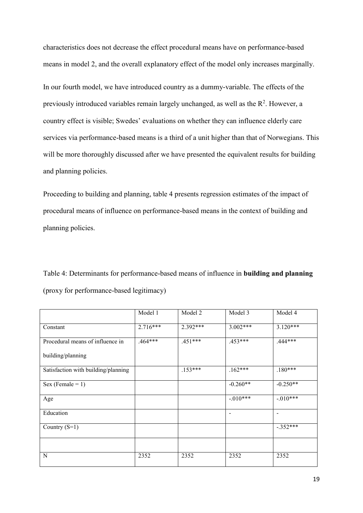characteristics does not decrease the effect procedural means have on performance-based means in model 2, and the overall explanatory effect of the model only increases marginally.

In our fourth model, we have introduced country as a dummy-variable. The effects of the previously introduced variables remain largely unchanged, as well as the  $R^2$ . However, a country effect is visible; Swedes' evaluations on whether they can influence elderly care services via performance-based means is a third of a unit higher than that of Norwegians. This will be more thoroughly discussed after we have presented the equivalent results for building and planning policies.

Proceeding to building and planning, table 4 presents regression estimates of the impact of procedural means of influence on performance-based means in the context of building and planning policies.

Table 4: Determinants for performance-based means of influence in **building and planning**  (proxy for performance-based legitimacy)

|                                     | Model 1    | Model 2    | Model 3    | Model 4                  |
|-------------------------------------|------------|------------|------------|--------------------------|
| Constant                            | $2.716***$ | $2.392***$ | $3.002***$ | $3.120***$               |
| Procedural means of influence in    | .464***    | $.451***$  | $.453***$  | $.444***$                |
| building/planning                   |            |            |            |                          |
| Satisfaction with building/planning |            | $.153***$  | $.162***$  | $.180***$                |
| Sex (Female $= 1$ )                 |            |            | $-0.260**$ | $-0.250**$               |
| Age                                 |            |            | $-.010***$ | $-010***$                |
| Education                           |            |            |            | $\overline{\phantom{a}}$ |
| Country $(S=1)$                     |            |            |            | $-.352***$               |
|                                     |            |            |            |                          |
| N                                   | 2352       | 2352       | 2352       | 2352                     |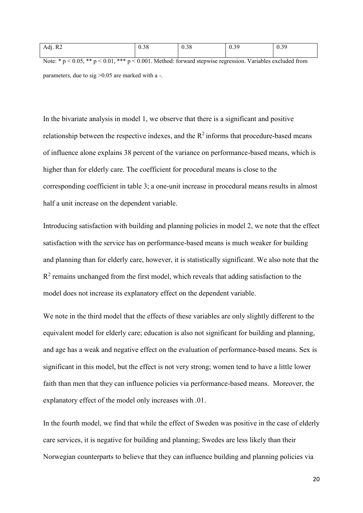| Adj. R2<br>$\gamma$ O<br>0.38 | 0.38 | 0.39 | 0.39 |
|-------------------------------|------|------|------|
|-------------------------------|------|------|------|

Note: \*  $p \le 0.05$ , \*\*  $p \le 0.01$ , \*\*\*  $p \le 0.001$ . Method: forward stepwise regression. Variables excluded from parameters, due to sig >0.05 are marked with a -.

In the bivariate analysis in model 1, we observe that there is a significant and positive relationship between the respective indexes, and the  $R^2$  informs that procedure-based means of influence alone explains 38 percent of the variance on performance-based means, which is higher than for elderly care. The coefficient for procedural means is close to the corresponding coefficient in table 3; a one-unit increase in procedural means results in almost half a unit increase on the dependent variable.

Introducing satisfaction with building and planning policies in model 2, we note that the effect satisfaction with the service has on performance-based means is much weaker for building and planning than for elderly care, however, it is statistically significant. We also note that the  $R<sup>2</sup>$  remains unchanged from the first model, which reveals that adding satisfaction to the model does not increase its explanatory effect on the dependent variable.

We note in the third model that the effects of these variables are only slightly different to the equivalent model for elderly care; education is also not significant for building and planning, and age has a weak and negative effect on the evaluation of performance-based means. Sex is significant in this model, but the effect is not very strong; women tend to have a little lower faith than men that they can influence policies via performance-based means. Moreover, the explanatory effect of the model only increases with .01.

In the fourth model, we find that while the effect of Sweden was positive in the case of elderly care services, it is negative for building and planning; Swedes are less likely than their Norwegian counterparts to believe that they can influence building and planning policies via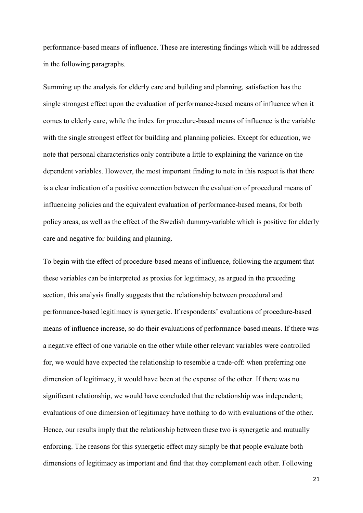performance-based means of influence. These are interesting findings which will be addressed in the following paragraphs.

Summing up the analysis for elderly care and building and planning, satisfaction has the single strongest effect upon the evaluation of performance-based means of influence when it comes to elderly care, while the index for procedure-based means of influence is the variable with the single strongest effect for building and planning policies. Except for education, we note that personal characteristics only contribute a little to explaining the variance on the dependent variables. However, the most important finding to note in this respect is that there is a clear indication of a positive connection between the evaluation of procedural means of influencing policies and the equivalent evaluation of performance-based means, for both policy areas, as well as the effect of the Swedish dummy-variable which is positive for elderly care and negative for building and planning.

To begin with the effect of procedure-based means of influence, following the argument that these variables can be interpreted as proxies for legitimacy, as argued in the preceding section, this analysis finally suggests that the relationship between procedural and performance-based legitimacy is synergetic. If respondents' evaluations of procedure-based means of influence increase, so do their evaluations of performance-based means. If there was a negative effect of one variable on the other while other relevant variables were controlled for, we would have expected the relationship to resemble a trade-off: when preferring one dimension of legitimacy, it would have been at the expense of the other. If there was no significant relationship, we would have concluded that the relationship was independent; evaluations of one dimension of legitimacy have nothing to do with evaluations of the other. Hence, our results imply that the relationship between these two is synergetic and mutually enforcing. The reasons for this synergetic effect may simply be that people evaluate both dimensions of legitimacy as important and find that they complement each other. Following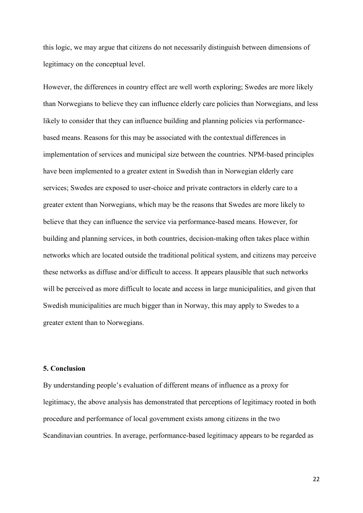this logic, we may argue that citizens do not necessarily distinguish between dimensions of legitimacy on the conceptual level.

However, the differences in country effect are well worth exploring; Swedes are more likely than Norwegians to believe they can influence elderly care policies than Norwegians, and less likely to consider that they can influence building and planning policies via performancebased means. Reasons for this may be associated with the contextual differences in implementation of services and municipal size between the countries. NPM-based principles have been implemented to a greater extent in Swedish than in Norwegian elderly care services; Swedes are exposed to user-choice and private contractors in elderly care to a greater extent than Norwegians, which may be the reasons that Swedes are more likely to believe that they can influence the service via performance-based means. However, for building and planning services, in both countries, decision-making often takes place within networks which are located outside the traditional political system, and citizens may perceive these networks as diffuse and/or difficult to access. It appears plausible that such networks will be perceived as more difficult to locate and access in large municipalities, and given that Swedish municipalities are much bigger than in Norway, this may apply to Swedes to a greater extent than to Norwegians.

## **5. Conclusion**

By understanding people's evaluation of different means of influence as a proxy for legitimacy, the above analysis has demonstrated that perceptions of legitimacy rooted in both procedure and performance of local government exists among citizens in the two Scandinavian countries. In average, performance-based legitimacy appears to be regarded as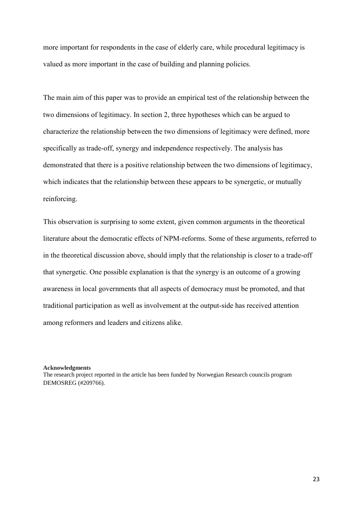more important for respondents in the case of elderly care, while procedural legitimacy is valued as more important in the case of building and planning policies.

The main aim of this paper was to provide an empirical test of the relationship between the two dimensions of legitimacy. In section 2, three hypotheses which can be argued to characterize the relationship between the two dimensions of legitimacy were defined, more specifically as trade-off, synergy and independence respectively. The analysis has demonstrated that there is a positive relationship between the two dimensions of legitimacy, which indicates that the relationship between these appears to be synergetic, or mutually reinforcing.

This observation is surprising to some extent, given common arguments in the theoretical literature about the democratic effects of NPM-reforms. Some of these arguments, referred to in the theoretical discussion above, should imply that the relationship is closer to a trade-off that synergetic. One possible explanation is that the synergy is an outcome of a growing awareness in local governments that all aspects of democracy must be promoted, and that traditional participation as well as involvement at the output-side has received attention among reformers and leaders and citizens alike.

**Acknowledgments**

The research project reported in the article has been funded by Norwegian Research councils program DEMOSREG (#209766).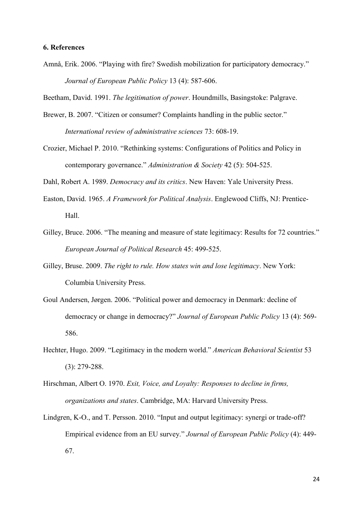## **6. References**

Amnå, Erik. 2006. "Playing with fire? Swedish mobilization for participatory democracy." *Journal of European Public Policy* 13 (4): 587-606.

Beetham, David. 1991. *The legitimation of power*. Houndmills, Basingstoke: Palgrave.

- Brewer, B. 2007. "Citizen or consumer? Complaints handling in the public sector." *International review of administrative sciences* 73: 608-19.
- Crozier, Michael P. 2010. "Rethinking systems: Configurations of Politics and Policy in contemporary governance." *Administration & Society* 42 (5): 504-525.

Dahl, Robert A. 1989. *Democracy and its critics*. New Haven: Yale University Press.

- Easton, David. 1965. *A Framework for Political Analysis*. Englewood Cliffs, NJ: Prentice-Hall.
- Gilley, Bruce. 2006. "The meaning and measure of state legitimacy: Results for 72 countries." *European Journal of Political Research* 45: 499-525.
- Gilley, Bruse. 2009. *The right to rule. How states win and lose legitimacy*. New York: Columbia University Press.
- Goul Andersen, Jørgen. 2006. "Political power and democracy in Denmark: decline of democracy or change in democracy?" *Journal of European Public Policy* 13 (4): 569- 586.
- Hechter, Hugo. 2009. "Legitimacy in the modern world." *American Behavioral Scientist* 53 (3): 279-288.
- Hirschman, Albert O. 1970. *Exit, Voice, and Loyalty: Responses to decline in firms, organizations and states*. Cambridge, MA: Harvard University Press.
- Lindgren, K-O., and T. Persson. 2010. "Input and output legitimacy: synergi or trade-off? Empirical evidence from an EU survey." *Journal of European Public Policy* (4): 449- 67.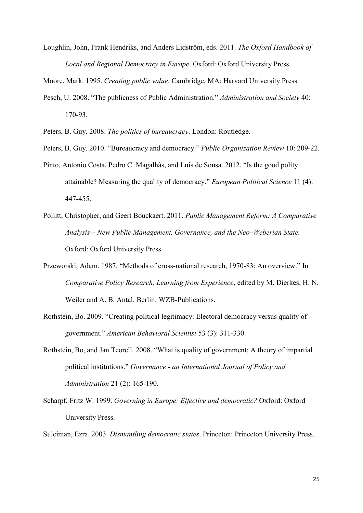Loughlin, John, Frank Hendriks, and Anders Lidström, eds. 2011. *The Oxford Handbook of Local and Regional Democracy in Europe*. Oxford: Oxford University Press.

Moore, Mark. 1995. *Creating public value*. Cambridge, MA: Harvard University Press.

- Pesch, U. 2008. "The publicness of Public Administration." *Administration and Society* 40: 170-93.
- Peters, B. Guy. 2008. *The politics of bureaucracy*. London: Routledge.
- Peters, B. Guy. 2010. "Bureaucracy and democracy." *Public Organization Review* 10: 209-22.
- Pinto, Antonio Costa, Pedro C. Magalhãs, and Luis de Sousa. 2012. "Is the good polity attainable? Measuring the quality of democracy." *European Political Science* 11 (4): 447-455.
- Pollitt, Christopher, and Geert Bouckaert. 2011. *Public Management Reform: A Comparative Analysis – New Public Management, Governance, and the Neo–Weberian State.* Oxford: Oxford University Press.
- Przeworski, Adam. 1987. "Methods of cross-national research, 1970-83: An overview." In *Comparative Policy Research. Learning from Experience*, edited by M. Dierkes, H. N. Weiler and A. B. Antal. Berlin: WZB-Publications.
- Rothstein, Bo. 2009. "Creating political legitimacy: Electoral democracy versus quality of government." *American Behavioral Scientist* 53 (3): 311-330.
- Rothstein, Bo, and Jan Teorell. 2008. "What is quality of government: A theory of impartial political institutions." *Governance - an International Journal of Policy and Administration* 21 (2): 165-190.
- Scharpf, Fritz W. 1999. *Governing in Europe: Effective and democratic?* Oxford: Oxford University Press.

Suleiman, Ezra. 2003. *Dismantling democratic states*. Princeton: Princeton University Press.